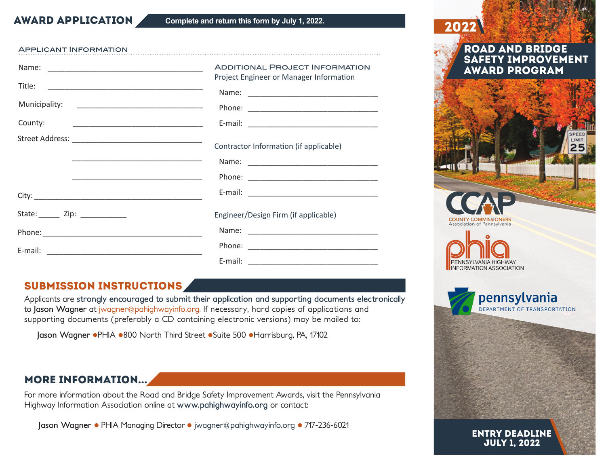**AWARD APPLICATION** Complete and return this form by July 1, 2022.

#### Applicant Information

|                                | <b>ADDITIONAL PROJECT INFORMATION</b><br>Project Engineer or Manager Information |
|--------------------------------|----------------------------------------------------------------------------------|
| Title:                         |                                                                                  |
| County:                        |                                                                                  |
|                                | Contractor Information (if applicable)                                           |
| State: ______ Zip: ___________ | Engineer/Design Firm (if applicable)                                             |
|                                |                                                                                  |
|                                |                                                                                  |
|                                |                                                                                  |

## Submission Instructions

Applicants are **strongly encouraged to submit their application and supporting documents electronically** to **Jason Wagner** at jwagner@pahighwayinfo.org. If necessary, hard copies of applications and supporting documents (preferably a CD containing electronic versions) may be mailed to:

Jason Wagner · PHIA · 800 North Third Street · Suite 500 · Harrisburg, PA, 17102

## More Information...

For more information about the Road and Bridge Safety Improvement Awards, visit the Pennsylvania Highway Information Association online at **www.pahighwayinfo.org** or contact:

**Jason Wagner • PHIA Managing Director • jwagner@pahighwayinfo.org • 717-236-6021** 



July 1, 2022